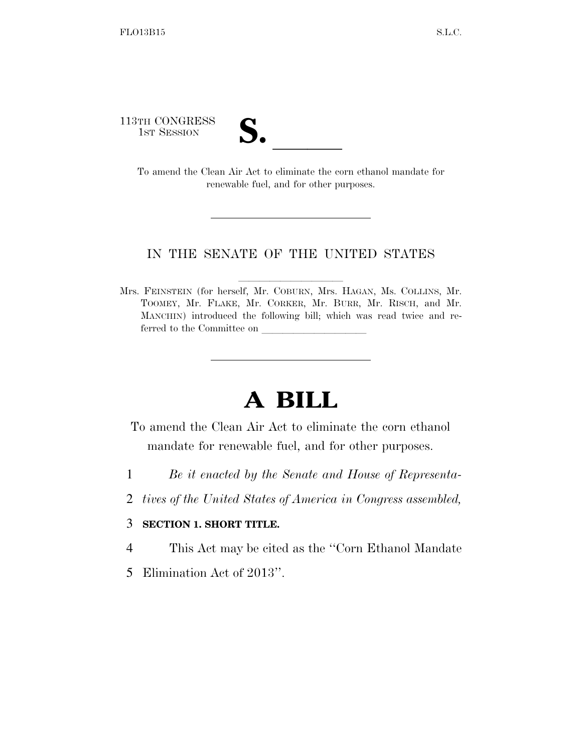113TH CONGRESS

TH CONGRESS<br>1st Session<br>To amend the Clean Air Act to eliminate the corn ethanol mandate for renewable fuel, and for other purposes.

## IN THE SENATE OF THE UNITED STATES

Mrs. FEINSTEIN (for herself, Mr. COBURN, Mrs. HAGAN, Ms. COLLINS, Mr. TOOMEY, Mr. FLAKE, Mr. CORKER, Mr. BURR, Mr. RISCH, and Mr. MANCHIN) introduced the following bill; which was read twice and referred to the Committee on

## **A BILL**

- To amend the Clean Air Act to eliminate the corn ethanol mandate for renewable fuel, and for other purposes.
- 1 *Be it enacted by the Senate and House of Representa-*
- 2 *tives of the United States of America in Congress assembled,*

## 3 **SECTION 1. SHORT TITLE.**

- 4 This Act may be cited as the ''Corn Ethanol Mandate
- 5 Elimination Act of 2013''.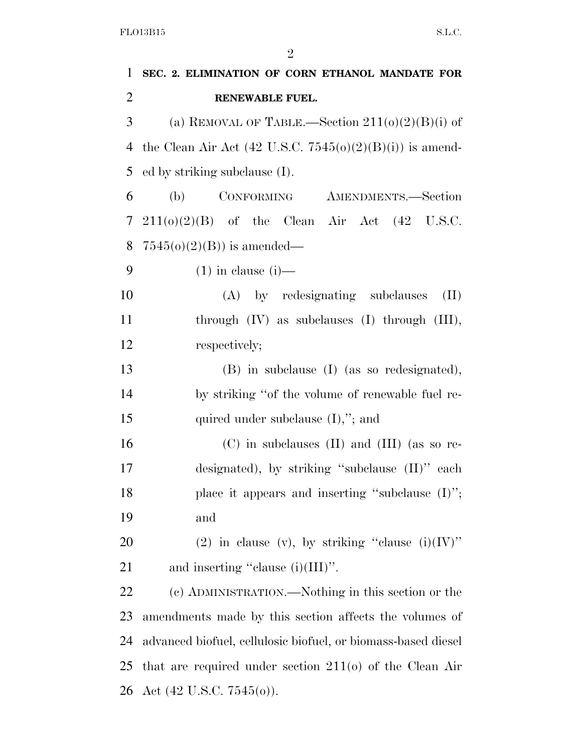| 1              | SEC. 2. ELIMINATION OF CORN ETHANOL MANDATE FOR               |
|----------------|---------------------------------------------------------------|
| $\overline{2}$ | RENEWABLE FUEL.                                               |
| 3              | (a) REMOVAL OF TABLE.—Section $211(0)(2)(B)(i)$ of            |
| 4              | the Clean Air Act (42 U.S.C. $7545(0)(2)(B)(i)$ ) is amend-   |
| 5              | ed by striking subclause (I).                                 |
| 6              | CONFORMING AMENDMENTS.-Section<br>(b)                         |
| 7              | $211(0)(2)(B)$ of the Clean Air Act $(42 \text{ U.S.C.})$     |
| 8              | $7545(o)(2)(B)$ is amended—                                   |
| 9              | $(1)$ in clause $(i)$ —                                       |
| 10             | (A) by redesignating subclauses<br>(II)                       |
| 11             | through $(IV)$ as subclauses $(I)$ through $(III)$ ,          |
| 12             | respectively;                                                 |
| 13             | (B) in subclause (I) (as so redesignated),                    |
| 14             | by striking "of the volume of renewable fuel re-              |
| 15             | quired under subclause $(I)$ ,"; and                          |
| 16             | $(C)$ in subclauses $(II)$ and $(III)$ (as so re-             |
| 17             | designated), by striking "subclause (II)" each                |
| 18             | place it appears and inserting "subclause $(I)$ ";            |
| 19             | and                                                           |
| 20             | (2) in clause (v), by striking "clause $(i)(IV)$ "            |
| 21             | and inserting "clause $(i)(III)$ ".                           |
| 22             | (c) ADMINISTRATION.—Nothing in this section or the            |
| 23             | amendments made by this section affects the volumes of        |
| 24             | advanced biofuel, cellulosic biofuel, or biomass-based diesel |
| 25             | that are required under section $211(0)$ of the Clean Air     |
| 26             | Act $(42 \text{ U.S.C. } 7545(0))$ .                          |